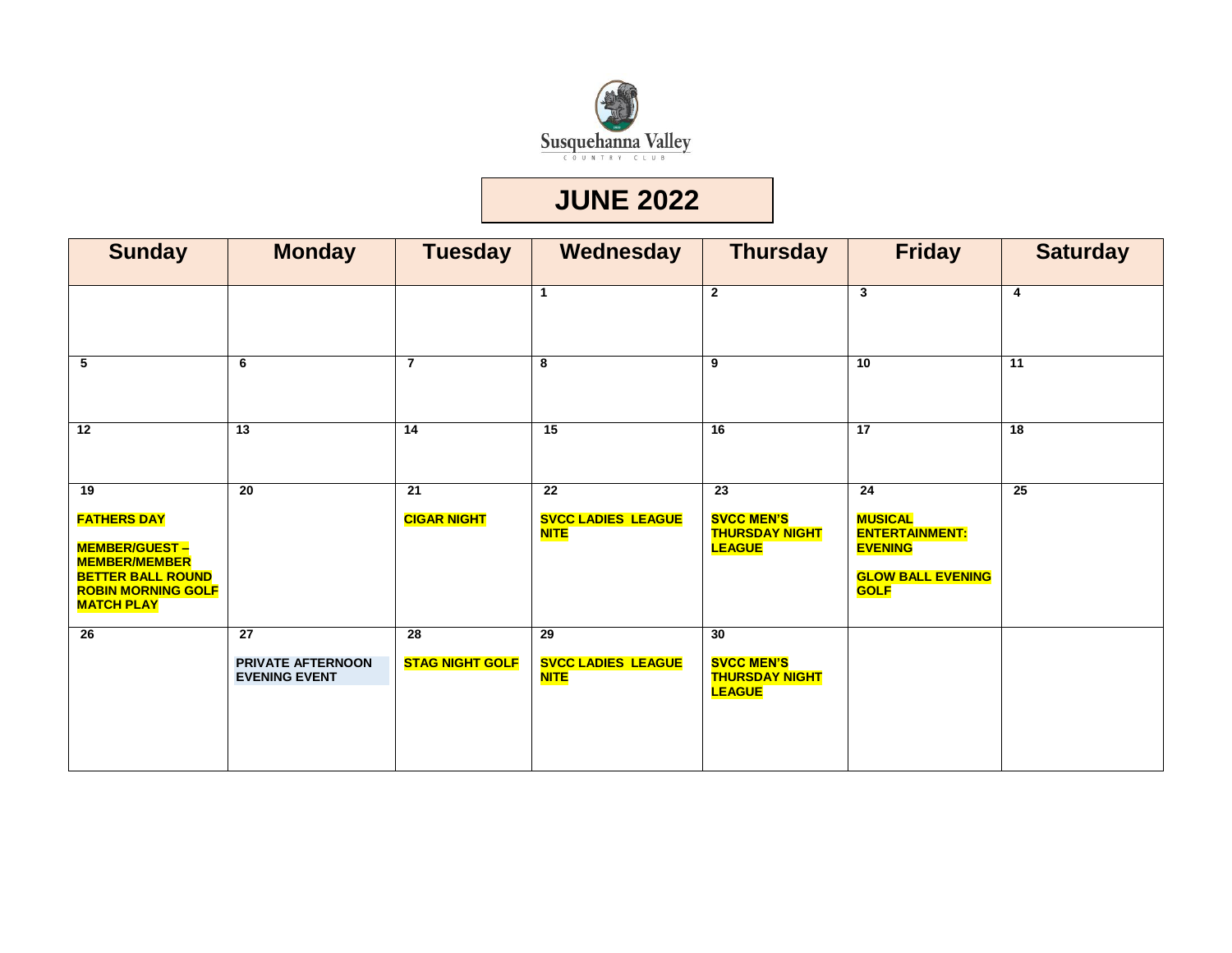

#### **JUNE 2022**

| <b>Sunday</b>                                                                                                                                          | <b>Monday</b>                                                       | <b>Tuesday</b>                            | Wednesday                                                   | <b>Thursday</b>                                                                | <b>Friday</b>                                                                                              | <b>Saturday</b>         |
|--------------------------------------------------------------------------------------------------------------------------------------------------------|---------------------------------------------------------------------|-------------------------------------------|-------------------------------------------------------------|--------------------------------------------------------------------------------|------------------------------------------------------------------------------------------------------------|-------------------------|
|                                                                                                                                                        |                                                                     |                                           | $\mathbf 1$                                                 | $\mathbf{2}$                                                                   | $\mathbf{3}$                                                                                               | $\overline{\mathbf{4}}$ |
| 5                                                                                                                                                      | 6                                                                   | $\overline{7}$                            | 8                                                           | $\overline{9}$                                                                 | $\overline{10}$                                                                                            | $\overline{11}$         |
| $\overline{12}$                                                                                                                                        | $\overline{13}$                                                     | 14                                        | $\overline{15}$                                             | $\overline{16}$                                                                | $\overline{17}$                                                                                            | 18                      |
| 19<br><b>FATHERS DAY</b><br><b>MEMBER/GUEST-</b><br><b>MEMBER/MEMBER</b><br><b>BETTER BALL ROUND</b><br><b>ROBIN MORNING GOLF</b><br><b>MATCH PLAY</b> | 20                                                                  | 21<br><b>CIGAR NIGHT</b>                  | $\overline{22}$<br><b>SVCC LADIES LEAGUE</b><br><b>NITE</b> | $\overline{23}$<br><b>SVCC MEN'S</b><br><b>THURSDAY NIGHT</b><br><b>LEAGUE</b> | 24<br><b>MUSICAL</b><br><b>ENTERTAINMENT:</b><br><b>EVENING</b><br><b>GLOW BALL EVENING</b><br><b>GOLF</b> | 25                      |
| $\overline{26}$                                                                                                                                        | $\overline{27}$<br><b>PRIVATE AFTERNOON</b><br><b>EVENING EVENT</b> | $\overline{28}$<br><b>STAG NIGHT GOLF</b> | $\overline{29}$<br><b>SVCC LADIES LEAGUE</b><br><b>NITE</b> | 30<br><b>SVCC MEN'S</b><br><b>THURSDAY NIGHT</b><br><b>LEAGUE</b>              |                                                                                                            |                         |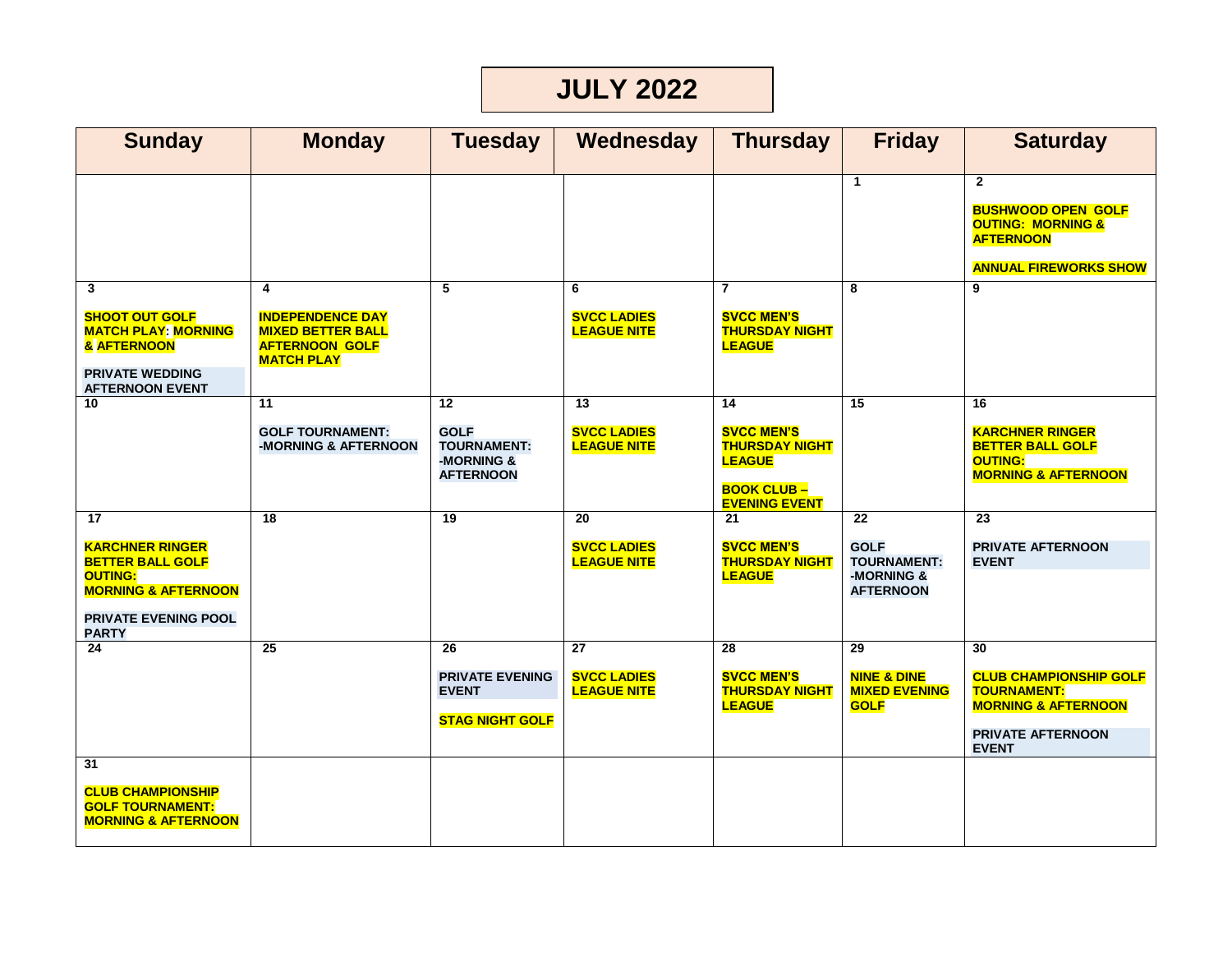# **JULY 2022**

| <b>Sunday</b>                                                                                                                                       | <b>Monday</b>                                                                                          | <b>Tuesday</b>                                                            | Wednesday                                                   | <b>Thursday</b>                                                                                                | <b>Friday</b>                                                             | <b>Saturday</b>                                                                                                                  |
|-----------------------------------------------------------------------------------------------------------------------------------------------------|--------------------------------------------------------------------------------------------------------|---------------------------------------------------------------------------|-------------------------------------------------------------|----------------------------------------------------------------------------------------------------------------|---------------------------------------------------------------------------|----------------------------------------------------------------------------------------------------------------------------------|
|                                                                                                                                                     |                                                                                                        |                                                                           |                                                             |                                                                                                                | $\mathbf{1}$                                                              | $\mathbf{2}$<br><b>BUSHWOOD OPEN GOLF</b><br><b>OUTING: MORNING &amp;</b><br><b>AFTERNOON</b><br><b>ANNUAL FIREWORKS SHOW</b>    |
| 3<br><b>SHOOT OUT GOLF</b><br><b>MATCH PLAY: MORNING</b><br>& AFTERNOON<br><b>PRIVATE WEDDING</b><br><b>AFTERNOON EVENT</b>                         | 4<br><b>INDEPENDENCE DAY</b><br><b>MIXED BETTER BALL</b><br><b>AFTERNOON GOLF</b><br><b>MATCH PLAY</b> | 5                                                                         | 6<br><b>SVCC LADIES</b><br><b>LEAGUE NITE</b>               | 7<br><b>SVCC MEN'S</b><br><b>THURSDAY NIGHT</b><br><b>LEAGUE</b>                                               | 8                                                                         | $\overline{9}$                                                                                                                   |
| 10                                                                                                                                                  | 11<br><b>GOLF TOURNAMENT:</b><br>-MORNING & AFTERNOON                                                  | 12<br><b>GOLF</b><br><b>TOURNAMENT:</b><br>-MORNING &<br><b>AFTERNOON</b> | $\overline{13}$<br><b>SVCC LADIES</b><br><b>LEAGUE NITE</b> | 14<br><b>SVCC MEN'S</b><br><b>THURSDAY NIGHT</b><br><b>LEAGUE</b><br><b>BOOK CLUB-</b><br><b>EVENING EVENT</b> | $\overline{15}$                                                           | 16<br><b>KARCHNER RINGER</b><br><b>BETTER BALL GOLF</b><br><b>OUTING:</b><br><b>MORNING &amp; AFTERNOON</b>                      |
| 17<br><b>KARCHNER RINGER</b><br><b>BETTER BALL GOLF</b><br><b>OUTING:</b><br><b>MORNING &amp; AFTERNOON</b><br>PRIVATE EVENING POOL<br><b>PARTY</b> | 18                                                                                                     | $\overline{19}$                                                           | 20<br><b>SVCC LADIES</b><br><b>LEAGUE NITE</b>              | 21<br><b>SVCC MEN'S</b><br><b>THURSDAY NIGHT</b><br><b>LEAGUE</b>                                              | 22<br><b>GOLF</b><br><b>TOURNAMENT:</b><br>-MORNING &<br><b>AFTERNOON</b> | 23<br><b>PRIVATE AFTERNOON</b><br><b>EVENT</b>                                                                                   |
| 24                                                                                                                                                  | $\overline{25}$                                                                                        | 26<br><b>PRIVATE EVENING</b><br><b>EVENT</b><br><b>STAG NIGHT GOLF</b>    | 27<br><b>SVCC LADIES</b><br><b>LEAGUE NITE</b>              | 28<br><b>SVCC MEN'S</b><br><b>THURSDAY NIGHT</b><br><b>LEAGUE</b>                                              | 29<br><b>NINE &amp; DINE</b><br><b>MIXED EVENING</b><br><b>GOLF</b>       | 30<br><b>CLUB CHAMPIONSHIP GOLF</b><br><b>TOURNAMENT:</b><br><b>MORNING &amp; AFTERNOON</b><br>PRIVATE AFTERNOON<br><b>EVENT</b> |
| 31<br><b>CLUB CHAMPIONSHIP</b><br><b>GOLF TOURNAMENT:</b><br><b>MORNING &amp; AFTERNOON</b>                                                         |                                                                                                        |                                                                           |                                                             |                                                                                                                |                                                                           |                                                                                                                                  |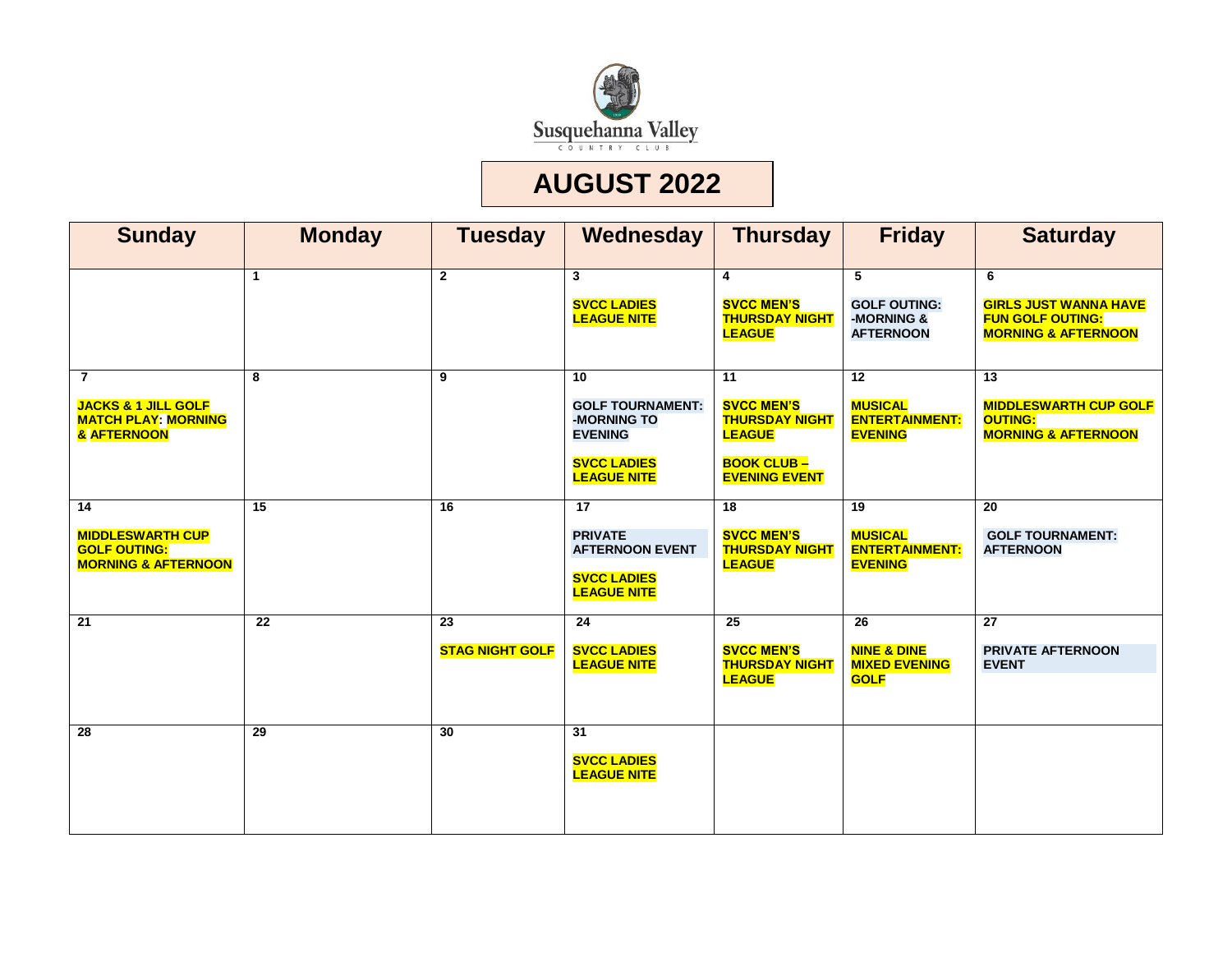

## **AUGUST 2022**

| <b>Sunday</b>                                                                                       | <b>Monday</b>   | <b>Tuesday</b>               | Wednesday                                                                                                  | <b>Thursday</b>                                                                                                | <b>Friday</b>                                                                    | <b>Saturday</b>                                                                                |
|-----------------------------------------------------------------------------------------------------|-----------------|------------------------------|------------------------------------------------------------------------------------------------------------|----------------------------------------------------------------------------------------------------------------|----------------------------------------------------------------------------------|------------------------------------------------------------------------------------------------|
|                                                                                                     | 1               | $\overline{2}$               | $\mathbf{3}$<br><b>SVCC LADIES</b><br><b>LEAGUE NITE</b>                                                   | 4<br><b>SVCC MEN'S</b><br><b>THURSDAY NIGHT</b><br><b>LEAGUE</b>                                               | 5<br><b>GOLF OUTING:</b><br>-MORNING &<br><b>AFTERNOON</b>                       | 6<br><b>GIRLS JUST WANNA HAVE</b><br><b>FUN GOLF OUTING:</b><br><b>MORNING &amp; AFTERNOON</b> |
| $\overline{7}$<br><b>JACKS &amp; 1 JILL GOLF</b><br><b>MATCH PLAY: MORNING</b><br>& AFTERNOON       | 8               | 9                            | 10<br><b>GOLF TOURNAMENT:</b><br>-MORNING TO<br><b>EVENING</b><br><b>SVCC LADIES</b><br><b>LEAGUE NITE</b> | 11<br><b>SVCC MEN'S</b><br><b>THURSDAY NIGHT</b><br><b>LEAGUE</b><br><b>BOOK CLUB-</b><br><b>EVENING EVENT</b> | $\overline{12}$<br><b>MUSICAL</b><br><b>ENTERTAINMENT:</b><br><b>EVENING</b>     | 13<br><b>MIDDLESWARTH CUP GOLF</b><br><b>OUTING:</b><br><b>MORNING &amp; AFTERNOON</b>         |
| $\overline{14}$<br><b>MIDDLESWARTH CUP</b><br><b>GOLF OUTING:</b><br><b>MORNING &amp; AFTERNOON</b> | $\overline{15}$ | 16                           | $\overline{17}$<br><b>PRIVATE</b><br><b>AFTERNOON EVENT</b><br><b>SVCC LADIES</b><br><b>LEAGUE NITE</b>    | $\overline{18}$<br><b>SVCC MEN'S</b><br><b>THURSDAY NIGHT</b><br><b>LEAGUE</b>                                 | $\overline{19}$<br><b>MUSICAL</b><br><b>ENTERTAINMENT:</b><br><b>EVENING</b>     | $\overline{20}$<br><b>GOLF TOURNAMENT:</b><br><b>AFTERNOON</b>                                 |
| $\overline{21}$                                                                                     | $\overline{22}$ | 23<br><b>STAG NIGHT GOLF</b> | $\overline{24}$<br><b>SVCC LADIES</b><br><b>LEAGUE NITE</b>                                                | $\overline{25}$<br><b>SVCC MEN'S</b><br><b>THURSDAY NIGHT</b><br><b>LEAGUE</b>                                 | $\overline{26}$<br><b>NINE &amp; DINE</b><br><b>MIXED EVENING</b><br><b>GOLF</b> | $\overline{27}$<br>PRIVATE AFTERNOON<br><b>EVENT</b>                                           |
| 28                                                                                                  | 29              | 30                           | 31<br><b>SVCC LADIES</b><br><b>LEAGUE NITE</b>                                                             |                                                                                                                |                                                                                  |                                                                                                |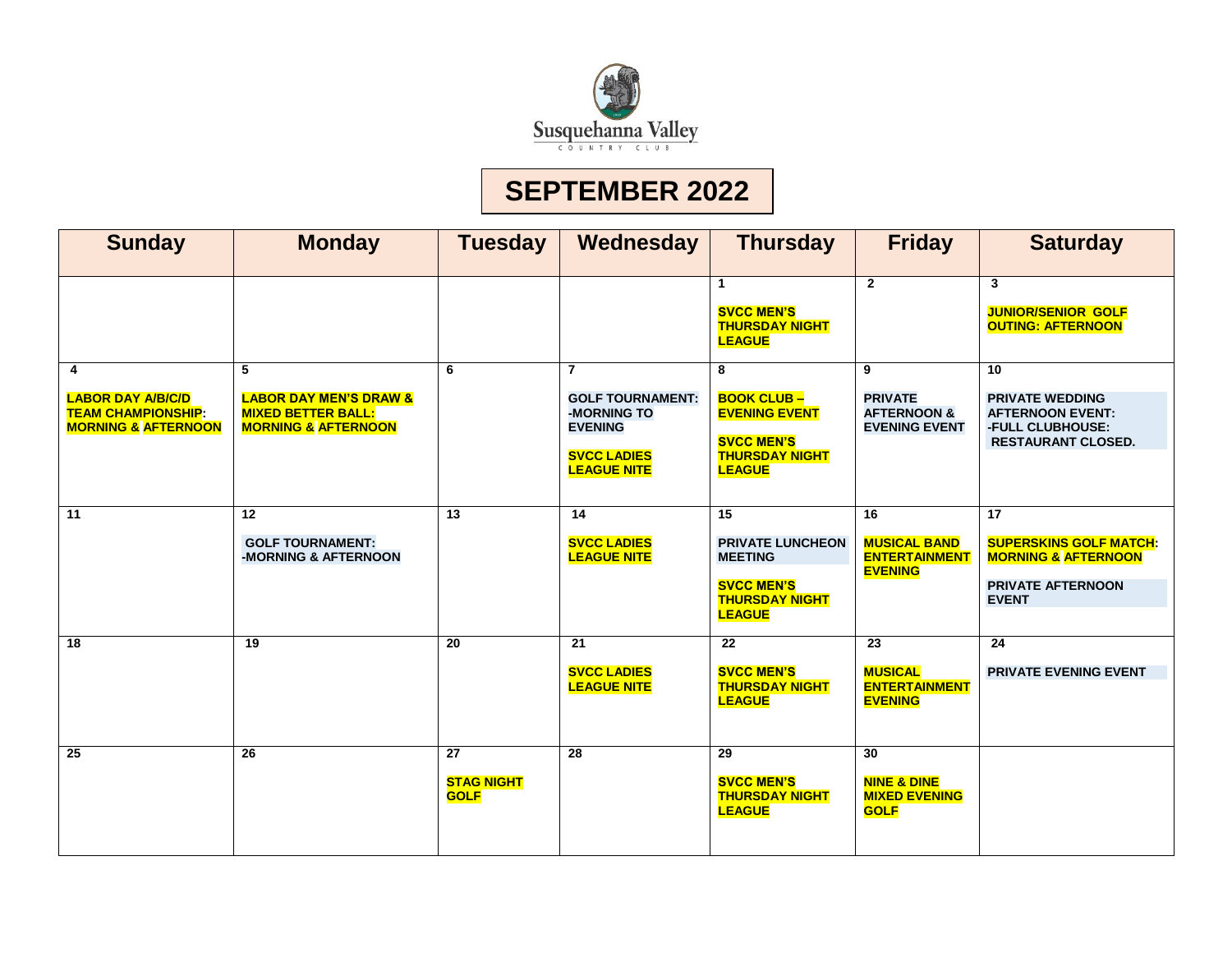

# **SEPTEMBER 2022**

| <b>Sunday</b>                                                                                | <b>Monday</b>                                                                                         | <b>Tuesday</b>                                      | Wednesday                                                                                                              | <b>Thursday</b>                                                                                                             | <b>Friday</b>                                                                    | <b>Saturday</b>                                                                                                                |
|----------------------------------------------------------------------------------------------|-------------------------------------------------------------------------------------------------------|-----------------------------------------------------|------------------------------------------------------------------------------------------------------------------------|-----------------------------------------------------------------------------------------------------------------------------|----------------------------------------------------------------------------------|--------------------------------------------------------------------------------------------------------------------------------|
|                                                                                              |                                                                                                       |                                                     |                                                                                                                        | $\mathbf{1}$<br><b>SVCC MEN'S</b><br><b>THURSDAY NIGHT</b><br><b>LEAGUE</b>                                                 | $\mathbf{2}$                                                                     | $\overline{\mathbf{3}}$<br><b>JUNIOR/SENIOR GOLF</b><br><b>OUTING: AFTERNOON</b>                                               |
| 4<br><b>LABOR DAY A/B/C/D</b><br><b>TEAM CHAMPIONSHIP:</b><br><b>MORNING &amp; AFTERNOON</b> | 5<br><b>LABOR DAY MEN'S DRAW &amp;</b><br><b>MIXED BETTER BALL:</b><br><b>MORNING &amp; AFTERNOON</b> | 6                                                   | $\overline{7}$<br><b>GOLF TOURNAMENT:</b><br>-MORNING TO<br><b>EVENING</b><br><b>SVCC LADIES</b><br><b>LEAGUE NITE</b> | 8<br><b>BOOK CLUB-</b><br><b>EVENING EVENT</b><br><b>SVCC MEN'S</b><br><b>THURSDAY NIGHT</b><br><b>LEAGUE</b>               | 9<br><b>PRIVATE</b><br><b>AFTERNOON &amp;</b><br><b>EVENING EVENT</b>            | 10<br><b>PRIVATE WEDDING</b><br><b>AFTERNOON EVENT:</b><br>-FULL CLUBHOUSE:<br><b>RESTAURANT CLOSED.</b>                       |
| 11                                                                                           | 12<br><b>GOLF TOURNAMENT:</b><br>-MORNING & AFTERNOON                                                 | $\overline{13}$                                     | $\overline{14}$<br><b>SVCC LADIES</b><br><b>LEAGUE NITE</b>                                                            | $\overline{15}$<br><b>PRIVATE LUNCHEON</b><br><b>MEETING</b><br><b>SVCC MEN'S</b><br><b>THURSDAY NIGHT</b><br><b>LEAGUE</b> | $\overline{16}$<br><b>MUSICAL BAND</b><br><b>ENTERTAINMENT</b><br><b>EVENING</b> | $\overline{17}$<br><b>SUPERSKINS GOLF MATCH:</b><br><b>MORNING &amp; AFTERNOON</b><br><b>PRIVATE AFTERNOON</b><br><b>EVENT</b> |
| 18                                                                                           | $\overline{19}$                                                                                       | $\overline{20}$                                     | 21<br><b>SVCC LADIES</b><br><b>LEAGUE NITE</b>                                                                         | $\overline{22}$<br><b>SVCC MEN'S</b><br><b>THURSDAY NIGHT</b><br><b>LEAGUE</b>                                              | $\overline{23}$<br><b>MUSICAL</b><br><b>ENTERTAINMENT</b><br><b>EVENING</b>      | $\overline{24}$<br><b>PRIVATE EVENING EVENT</b>                                                                                |
| $\overline{25}$                                                                              | $\overline{26}$                                                                                       | $\overline{27}$<br><b>STAG NIGHT</b><br><b>GOLF</b> | $\overline{28}$                                                                                                        | $\overline{29}$<br><b>SVCC MEN'S</b><br><b>THURSDAY NIGHT</b><br><b>LEAGUE</b>                                              | $\overline{30}$<br><b>NINE &amp; DINE</b><br><b>MIXED EVENING</b><br><b>GOLF</b> |                                                                                                                                |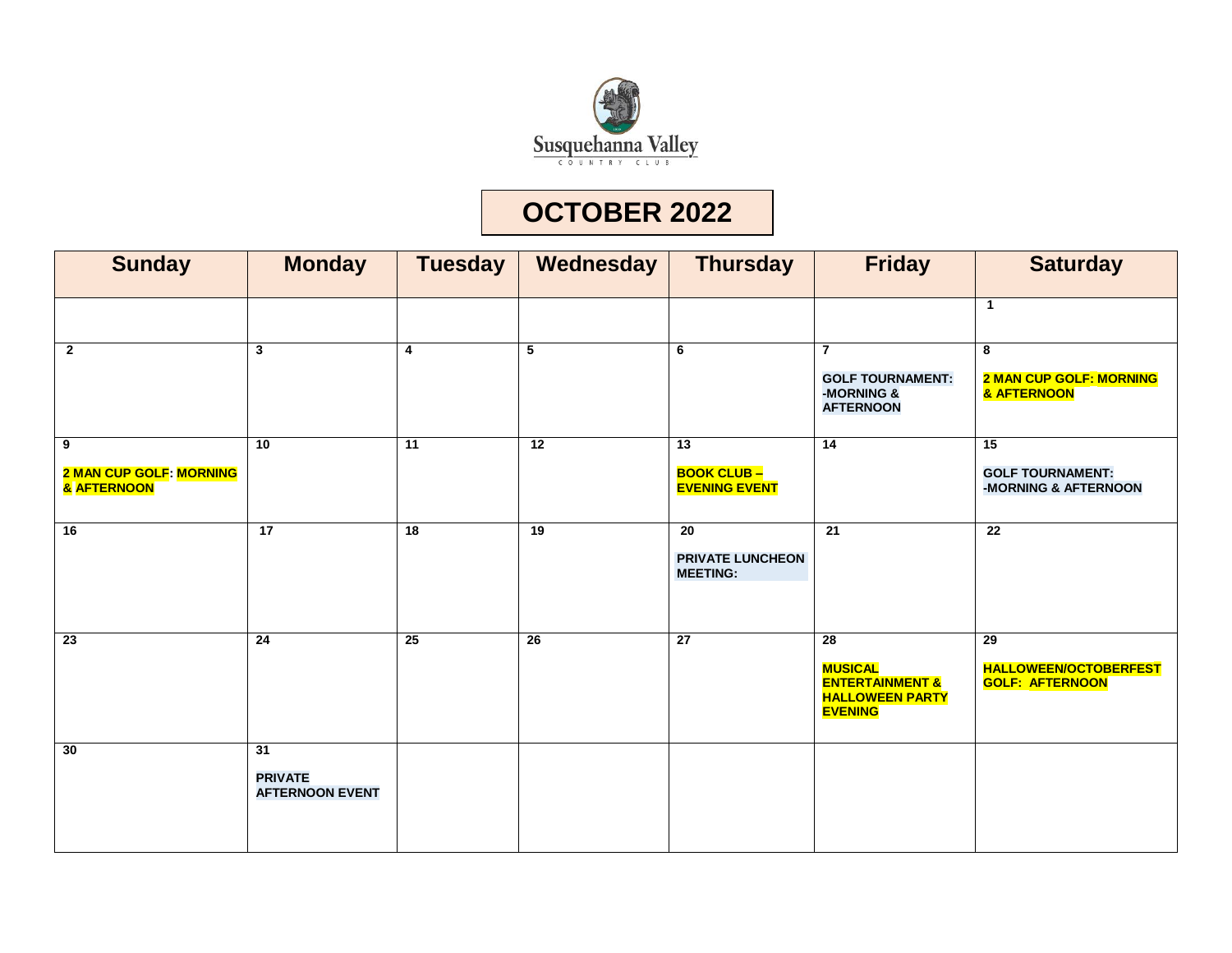

# **OCTOBER 2022**

| <b>Sunday</b>                                      | <b>Monday</b>                                  | <b>Tuesday</b>          | Wednesday | <b>Thursday</b>                                              | <b>Friday</b>                                                                                               | <b>Saturday</b>                                                           |
|----------------------------------------------------|------------------------------------------------|-------------------------|-----------|--------------------------------------------------------------|-------------------------------------------------------------------------------------------------------------|---------------------------------------------------------------------------|
|                                                    |                                                |                         |           |                                                              |                                                                                                             | $\mathbf{1}$                                                              |
| $\mathbf{2}$                                       | $\mathbf{3}$                                   | $\overline{\mathbf{4}}$ | 5         | 6                                                            | $\overline{7}$<br><b>GOLF TOURNAMENT:</b><br>-MORNING &<br><b>AFTERNOON</b>                                 | 8<br><b>2 MAN CUP GOLF: MORNING</b><br>& AFTERNOON                        |
| 9<br><b>2 MAN CUP GOLF: MORNING</b><br>& AFTERNOON | $\overline{10}$                                | 11                      | 12        | $\overline{13}$<br><b>BOOK CLUB-</b><br><b>EVENING EVENT</b> | $\overline{14}$                                                                                             | 15<br><b>GOLF TOURNAMENT:</b><br>-MORNING & AFTERNOON                     |
| 16                                                 | 17                                             | 18                      | 19        | 20<br><b>PRIVATE LUNCHEON</b><br><b>MEETING:</b>             | 21                                                                                                          | $\overline{22}$                                                           |
| $\overline{23}$                                    | $\overline{24}$                                | $\overline{25}$         | 26        | $\overline{27}$                                              | $\overline{28}$<br><b>MUSICAL</b><br><b>ENTERTAINMENT &amp;</b><br><b>HALLOWEEN PARTY</b><br><b>EVENING</b> | $\overline{29}$<br><b>HALLOWEEN/OCTOBERFEST</b><br><b>GOLF: AFTERNOON</b> |
| 30                                                 | 31<br><b>PRIVATE</b><br><b>AFTERNOON EVENT</b> |                         |           |                                                              |                                                                                                             |                                                                           |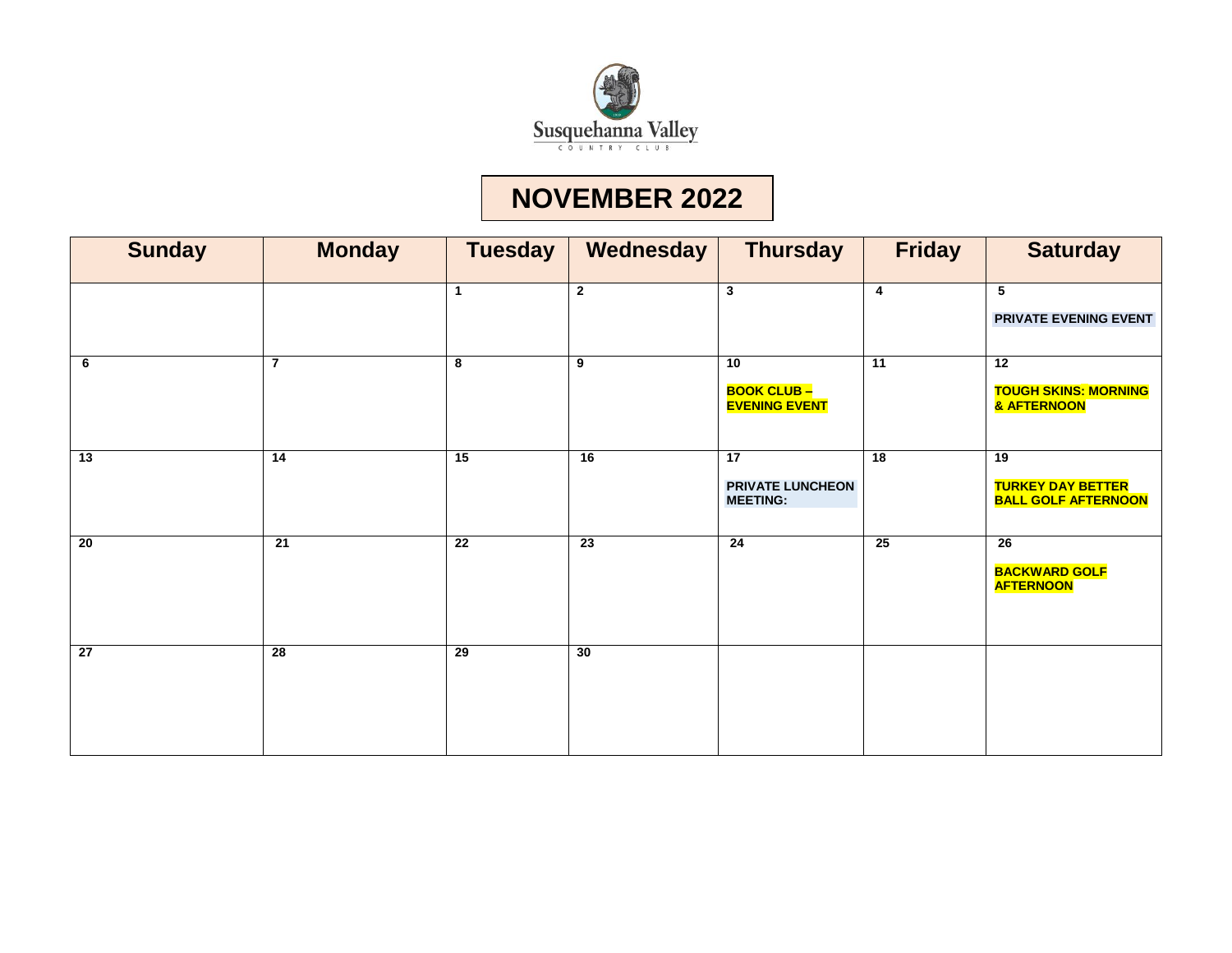

# **NOVEMBER 2022**

| <b>Sunday</b> | <b>Monday</b>   | <b>Tuesday</b>  | Wednesday       | <b>Thursday</b>                                  | <b>Friday</b>   | <b>Saturday</b>                                               |
|---------------|-----------------|-----------------|-----------------|--------------------------------------------------|-----------------|---------------------------------------------------------------|
|               |                 | $\mathbf 1$     | $\mathbf 2$     | $\mathbf{3}$                                     | 4               | $5\phantom{.0}$<br>PRIVATE EVENING EVENT                      |
| 6             | $\overline{7}$  | 8               | 9               | 10<br><b>BOOK CLUB-</b><br><b>EVENING EVENT</b>  | 11              | $\overline{12}$<br><b>TOUGH SKINS: MORNING</b><br>& AFTERNOON |
| 13            | 14              | 15              | 16              | 17<br><b>PRIVATE LUNCHEON</b><br><b>MEETING:</b> | 18              | 19<br><b>TURKEY DAY BETTER</b><br><b>BALL GOLF AFTERNOON</b>  |
| 20            | 21              | $\overline{22}$ | $\overline{23}$ | $\overline{24}$                                  | $\overline{25}$ | 26<br><b>BACKWARD GOLF</b><br><b>AFTERNOON</b>                |
| 27            | $\overline{28}$ | 29              | 30              |                                                  |                 |                                                               |